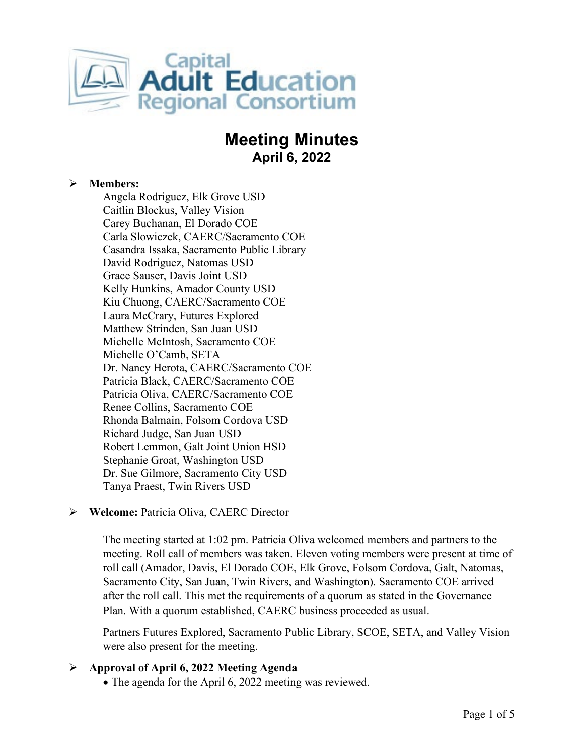

# **Meeting Minutes April 6, 2022**

# **Members:**

Angela Rodriguez, Elk Grove USD Caitlin Blockus, Valley Vision Carey Buchanan, El Dorado COE Carla Slowiczek, CAERC/Sacramento COE Casandra Issaka, Sacramento Public Library David Rodriguez, Natomas USD Grace Sauser, Davis Joint USD Kelly Hunkins, Amador County USD Kiu Chuong, CAERC/Sacramento COE Laura McCrary, Futures Explored Matthew Strinden, San Juan USD Michelle McIntosh, Sacramento COE Michelle O'Camb, SETA Dr. Nancy Herota, CAERC/Sacramento COE Patricia Black, CAERC/Sacramento COE Patricia Oliva, CAERC/Sacramento COE Renee Collins, Sacramento COE Rhonda Balmain, Folsom Cordova USD Richard Judge, San Juan USD Robert Lemmon, Galt Joint Union HSD Stephanie Groat, Washington USD Dr. Sue Gilmore, Sacramento City USD Tanya Praest, Twin Rivers USD

# **Welcome:** Patricia Oliva, CAERC Director

The meeting started at 1:02 pm. Patricia Oliva welcomed members and partners to the meeting. Roll call of members was taken. Eleven voting members were present at time of roll call (Amador, Davis, El Dorado COE, Elk Grove, Folsom Cordova, Galt, Natomas, Sacramento City, San Juan, Twin Rivers, and Washington). Sacramento COE arrived after the roll call. This met the requirements of a quorum as stated in the Governance Plan. With a quorum established, CAERC business proceeded as usual.

Partners Futures Explored, Sacramento Public Library, SCOE, SETA, and Valley Vision were also present for the meeting.

# **Approval of April 6, 2022 Meeting Agenda**

• The agenda for the April 6, 2022 meeting was reviewed.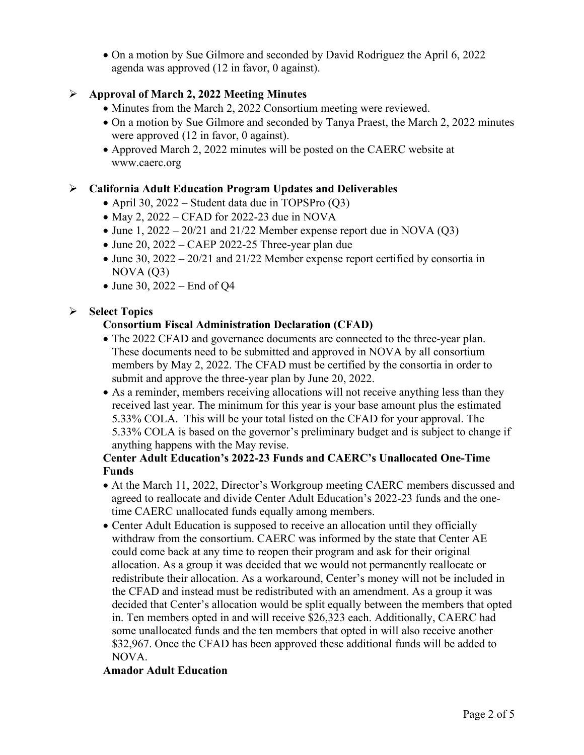• On a motion by Sue Gilmore and seconded by David Rodriguez the April 6, 2022 agenda was approved (12 in favor, 0 against).

# **Approval of March 2, 2022 Meeting Minutes**

- Minutes from the March 2, 2022 Consortium meeting were reviewed.
- On a motion by Sue Gilmore and seconded by Tanya Praest, the March 2, 2022 minutes were approved  $(12 \text{ in favor}, 0 \text{ against}).$
- Approved March 2, 2022 minutes will be posted on the CAERC website at www.caerc.org

# **California Adult Education Program Updates and Deliverables**

- April 30, 2022 Student data due in TOPSPro (Q3)
- May 2,  $2022 CFAD$  for 2022-23 due in NOVA
- June 1,  $2022 20/21$  and  $21/22$  Member expense report due in NOVA (Q3)
- June 20, 2022 CAEP 2022-25 Three-year plan due
- June 30, 2022 20/21 and 21/22 Member expense report certified by consortia in  $NOVA (Q3)$
- June 30, 2022 End of Q4

# **Select Topics**

#### **Consortium Fiscal Administration Declaration (CFAD)**

- The 2022 CFAD and governance documents are connected to the three-year plan. These documents need to be submitted and approved in NOVA by all consortium members by May 2, 2022. The CFAD must be certified by the consortia in order to submit and approve the three-year plan by June 20, 2022.
- As a reminder, members receiving allocations will not receive anything less than they received last year. The minimum for this year is your base amount plus the estimated 5.33% COLA. This will be your total listed on the CFAD for your approval. The 5.33% COLA is based on the governor's preliminary budget and is subject to change if anything happens with the May revise.

#### **Center Adult Education's 2022-23 Funds and CAERC's Unallocated One-Time Funds**

- At the March 11, 2022, Director's Workgroup meeting CAERC members discussed and agreed to reallocate and divide Center Adult Education's 2022-23 funds and the onetime CAERC unallocated funds equally among members.
- Center Adult Education is supposed to receive an allocation until they officially withdraw from the consortium. CAERC was informed by the state that Center AE could come back at any time to reopen their program and ask for their original allocation. As a group it was decided that we would not permanently reallocate or redistribute their allocation. As a workaround, Center's money will not be included in the CFAD and instead must be redistributed with an amendment. As a group it was decided that Center's allocation would be split equally between the members that opted in. Ten members opted in and will receive \$26,323 each. Additionally, CAERC had some unallocated funds and the ten members that opted in will also receive another \$32,967. Once the CFAD has been approved these additional funds will be added to NOVA.

#### **Amador Adult Education**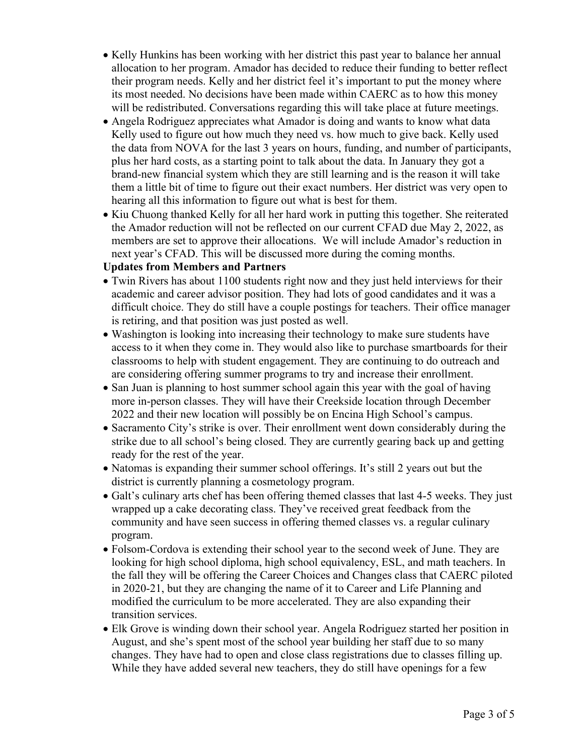- Kelly Hunkins has been working with her district this past year to balance her annual allocation to her program. Amador has decided to reduce their funding to better reflect their program needs. Kelly and her district feel it's important to put the money where its most needed. No decisions have been made within CAERC as to how this money will be redistributed. Conversations regarding this will take place at future meetings.
- Angela Rodriguez appreciates what Amador is doing and wants to know what data Kelly used to figure out how much they need vs. how much to give back. Kelly used the data from NOVA for the last 3 years on hours, funding, and number of participants, plus her hard costs, as a starting point to talk about the data. In January they got a brand-new financial system which they are still learning and is the reason it will take them a little bit of time to figure out their exact numbers. Her district was very open to hearing all this information to figure out what is best for them.
- Kiu Chuong thanked Kelly for all her hard work in putting this together. She reiterated the Amador reduction will not be reflected on our current CFAD due May 2, 2022, as members are set to approve their allocations. We will include Amador's reduction in next year's CFAD. This will be discussed more during the coming months.

#### **Updates from Members and Partners**

- Twin Rivers has about 1100 students right now and they just held interviews for their academic and career advisor position. They had lots of good candidates and it was a difficult choice. They do still have a couple postings for teachers. Their office manager is retiring, and that position was just posted as well.
- Washington is looking into increasing their technology to make sure students have access to it when they come in. They would also like to purchase smartboards for their classrooms to help with student engagement. They are continuing to do outreach and are considering offering summer programs to try and increase their enrollment.
- San Juan is planning to host summer school again this year with the goal of having more in-person classes. They will have their Creekside location through December 2022 and their new location will possibly be on Encina High School's campus.
- Sacramento City's strike is over. Their enrollment went down considerably during the strike due to all school's being closed. They are currently gearing back up and getting ready for the rest of the year.
- Natomas is expanding their summer school offerings. It's still 2 years out but the district is currently planning a cosmetology program.
- Galt's culinary arts chef has been offering themed classes that last 4-5 weeks. They just wrapped up a cake decorating class. They've received great feedback from the community and have seen success in offering themed classes vs. a regular culinary program.
- Folsom-Cordova is extending their school year to the second week of June. They are looking for high school diploma, high school equivalency, ESL, and math teachers. In the fall they will be offering the Career Choices and Changes class that CAERC piloted in 2020-21, but they are changing the name of it to Career and Life Planning and modified the curriculum to be more accelerated. They are also expanding their transition services.
- Elk Grove is winding down their school year. Angela Rodriguez started her position in August, and she's spent most of the school year building her staff due to so many changes. They have had to open and close class registrations due to classes filling up. While they have added several new teachers, they do still have openings for a few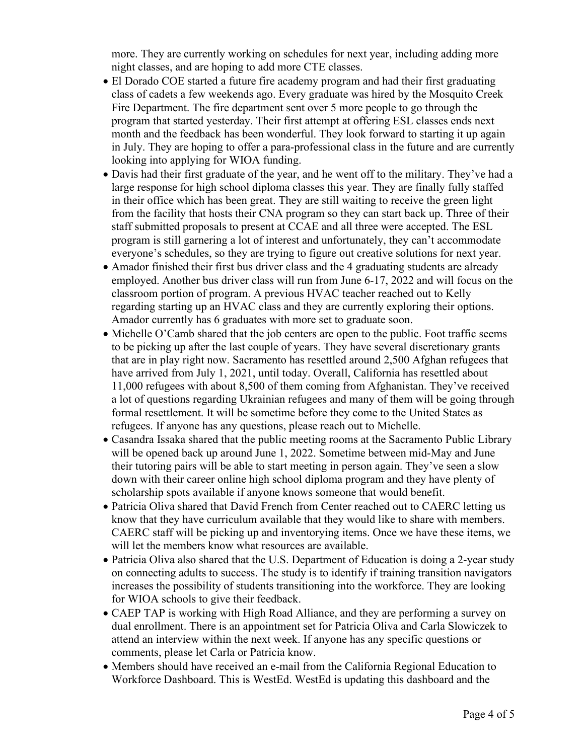more. They are currently working on schedules for next year, including adding more night classes, and are hoping to add more CTE classes.

- El Dorado COE started a future fire academy program and had their first graduating class of cadets a few weekends ago. Every graduate was hired by the Mosquito Creek Fire Department. The fire department sent over 5 more people to go through the program that started yesterday. Their first attempt at offering ESL classes ends next month and the feedback has been wonderful. They look forward to starting it up again in July. They are hoping to offer a para-professional class in the future and are currently looking into applying for WIOA funding.
- Davis had their first graduate of the year, and he went off to the military. They've had a large response for high school diploma classes this year. They are finally fully staffed in their office which has been great. They are still waiting to receive the green light from the facility that hosts their CNA program so they can start back up. Three of their staff submitted proposals to present at CCAE and all three were accepted. The ESL program is still garnering a lot of interest and unfortunately, they can't accommodate everyone's schedules, so they are trying to figure out creative solutions for next year.
- Amador finished their first bus driver class and the 4 graduating students are already employed. Another bus driver class will run from June 6-17, 2022 and will focus on the classroom portion of program. A previous HVAC teacher reached out to Kelly regarding starting up an HVAC class and they are currently exploring their options. Amador currently has 6 graduates with more set to graduate soon.
- Michelle O'Camb shared that the job centers are open to the public. Foot traffic seems to be picking up after the last couple of years. They have several discretionary grants that are in play right now. Sacramento has resettled around 2,500 Afghan refugees that have arrived from July 1, 2021, until today. Overall, California has resettled about 11,000 refugees with about 8,500 of them coming from Afghanistan. They've received a lot of questions regarding Ukrainian refugees and many of them will be going through formal resettlement. It will be sometime before they come to the United States as refugees. If anyone has any questions, please reach out to Michelle.
- Casandra Issaka shared that the public meeting rooms at the Sacramento Public Library will be opened back up around June 1, 2022. Sometime between mid-May and June their tutoring pairs will be able to start meeting in person again. They've seen a slow down with their career online high school diploma program and they have plenty of scholarship spots available if anyone knows someone that would benefit.
- Patricia Oliva shared that David French from Center reached out to CAERC letting us know that they have curriculum available that they would like to share with members. CAERC staff will be picking up and inventorying items. Once we have these items, we will let the members know what resources are available.
- Patricia Oliva also shared that the U.S. Department of Education is doing a 2-year study on connecting adults to success. The study is to identify if training transition navigators increases the possibility of students transitioning into the workforce. They are looking for WIOA schools to give their feedback.
- CAEP TAP is working with High Road Alliance, and they are performing a survey on dual enrollment. There is an appointment set for Patricia Oliva and Carla Slowiczek to attend an interview within the next week. If anyone has any specific questions or comments, please let Carla or Patricia know.
- Members should have received an e-mail from the California Regional Education to Workforce Dashboard. This is WestEd. WestEd is updating this dashboard and the